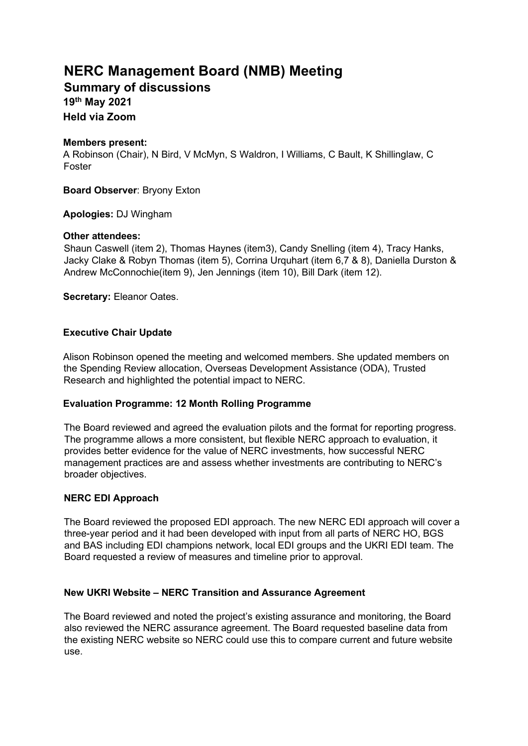# **NERC Management Board (NMB) Meeting**

**Summary of discussions 19th May 2021 Held via Zoom** 

## **Members present:**

A Robinson (Chair), N Bird, V McMyn, S Waldron, I Williams, C Bault, K Shillinglaw, C Foster

**Board Observer**: Bryony Exton

## **Apologies:** DJ Wingham

## **Other attendees:**

Shaun Caswell (item 2), Thomas Haynes (item3), Candy Snelling (item 4), Tracy Hanks, Jacky Clake & Robyn Thomas (item 5), Corrina Urquhart (item 6,7 & 8), Daniella Durston & Andrew McConnochie(item 9), Jen Jennings (item 10), Bill Dark (item 12).

**Secretary:** Eleanor Oates.

## **Executive Chair Update**

Alison Robinson opened the meeting and welcomed members. She updated members on the Spending Review allocation, Overseas Development Assistance (ODA), Trusted Research and highlighted the potential impact to NERC.

## **Evaluation Programme: 12 Month Rolling Programme**

The Board reviewed and agreed the evaluation pilots and the format for reporting progress. The programme allows a more consistent, but flexible NERC approach to evaluation, it provides better evidence for the value of NERC investments, how successful NERC management practices are and assess whether investments are contributing to NERC's broader objectives.

## **NERC EDI Approach**

The Board reviewed the proposed EDI approach. The new NERC EDI approach will cover a three-year period and it had been developed with input from all parts of NERC HO, BGS and BAS including EDI champions network, local EDI groups and the UKRI EDI team. The Board requested a review of measures and timeline prior to approval.

## **New UKRI Website – NERC Transition and Assurance Agreement**

The Board reviewed and noted the project's existing assurance and monitoring, the Board also reviewed the NERC assurance agreement. The Board requested baseline data from the existing NERC website so NERC could use this to compare current and future website use.